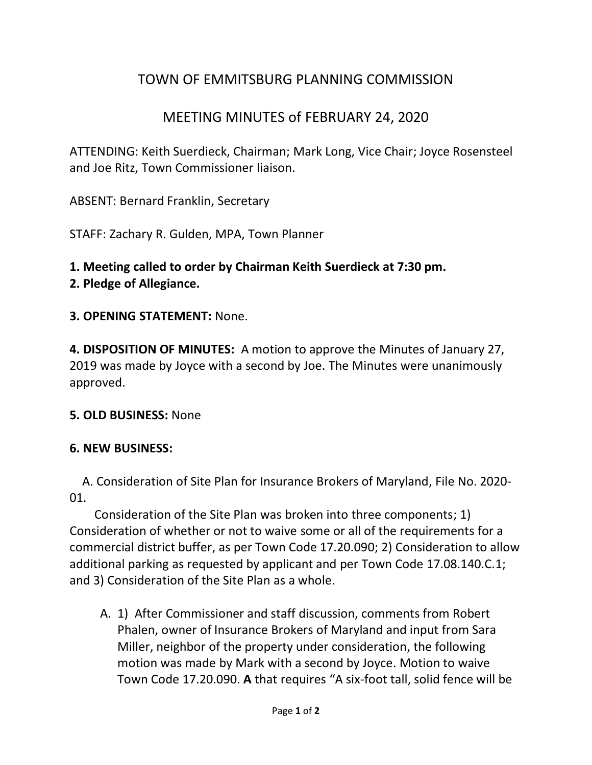# TOWN OF EMMITSBURG PLANNING COMMISSION

# MEETING MINUTES of FEBRUARY 24, 2020

ATTENDING: Keith Suerdieck, Chairman; Mark Long, Vice Chair; Joyce Rosensteel and Joe Ritz, Town Commissioner liaison.

ABSENT: Bernard Franklin, Secretary

STAFF: Zachary R. Gulden, MPA, Town Planner

## **1. Meeting called to order by Chairman Keith Suerdieck at 7:30 pm.**

### **2. Pledge of Allegiance.**

#### **3. OPENING STATEMENT:** None.

**4. DISPOSITION OF MINUTES:** A motion to approve the Minutes of January 27, 2019 was made by Joyce with a second by Joe. The Minutes were unanimously approved.

#### **5. OLD BUSINESS:** None

#### **6. NEW BUSINESS:**

A. Consideration of Site Plan for Insurance Brokers of Maryland, File No. 2020- 01.

 Consideration of the Site Plan was broken into three components; 1) Consideration of whether or not to waive some or all of the requirements for a commercial district buffer, as per Town Code 17.20.090; 2) Consideration to allow additional parking as requested by applicant and per Town Code 17.08.140.C.1; and 3) Consideration of the Site Plan as a whole.

A. 1) After Commissioner and staff discussion, comments from Robert Phalen, owner of Insurance Brokers of Maryland and input from Sara Miller, neighbor of the property under consideration, the following motion was made by Mark with a second by Joyce. Motion to waive Town Code 17.20.090. **A** that requires "A six-foot tall, solid fence will be